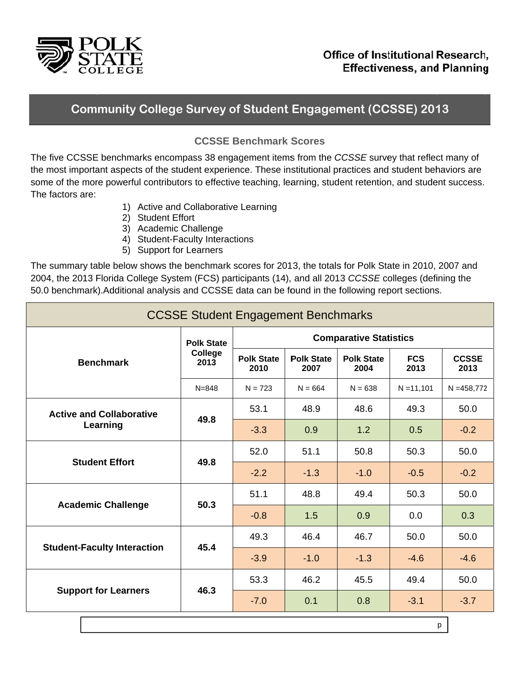

## **Community College Survey of Student Engagement (CCSSE) 2013**

## **CCSSE Benchmark Scores**

The five CCSSE benchmarks encompass 38 engagement items from the CCSSE survey that reflect many of the most important aspects of the student experience. These institutional practices and student behaviors are some of the more powerful contributors to effective teaching, learning, student retention, and student success. The factors are:

- 1) Active and Collaborative Learning
- 2) Student Effort
- 3) Academic Challenge
- 4) Student-Faculty Interactions
- 5) Support for Learners

The summary table below shows the benchmark scores for 2013, the totals for Polk State in 2010, 2007 and 2004, the 2013 Florida College System (FCS) participants (14), and all 2013 CCSSE colleges (defining the 50.0 benchmark). Additional analysis and CCSSE data can be found in the following report sections.

| <b>CCSSE Student Engagement Benchmarks</b>  |                                      |                               |                           |                           |                    |                      |  |  |
|---------------------------------------------|--------------------------------------|-------------------------------|---------------------------|---------------------------|--------------------|----------------------|--|--|
| <b>Benchmark</b>                            | <b>Polk State</b><br>College<br>2013 | <b>Comparative Statistics</b> |                           |                           |                    |                      |  |  |
|                                             |                                      | <b>Polk State</b><br>2010     | <b>Polk State</b><br>2007 | <b>Polk State</b><br>2004 | <b>FCS</b><br>2013 | <b>CCSSE</b><br>2013 |  |  |
|                                             | $N = 848$                            | $N = 723$                     | $N = 664$                 | $N = 638$                 | $N = 11,101$       | $N = 458,772$        |  |  |
| <b>Active and Collaborative</b><br>Learning | 49.8                                 | 53.1                          | 48.9                      | 48.6                      | 49.3               | 50.0                 |  |  |
|                                             |                                      | $-3.3$                        | 0.9                       | 1.2                       | 0.5                | $-0.2$               |  |  |
| <b>Student Effort</b>                       | 49.8                                 | 52.0                          | 51.1                      | 50.8                      | 50.3               | 50.0                 |  |  |
|                                             |                                      | $-2.2$                        | $-1.3$                    | $-1.0$                    | $-0.5$             | $-0.2$               |  |  |
| <b>Academic Challenge</b>                   | 50.3                                 | 51.1                          | 48.8                      | 49.4                      | 50.3               | 50.0                 |  |  |
|                                             |                                      | $-0.8$                        | 1.5                       | 0.9                       | 0.0                | 0.3                  |  |  |
| <b>Student-Faculty Interaction</b>          | 45.4                                 | 49.3                          | 46.4                      | 46.7                      | 50.0               | 50.0                 |  |  |
|                                             |                                      | $-3.9$                        | $-1.0$                    | $-1.3$                    | $-4.6$             | $-4.6$               |  |  |
| <b>Support for Learners</b>                 | 46.3                                 | 53.3                          | 46.2                      | 45.5                      | 49.4               | 50.0                 |  |  |
|                                             |                                      | $-7.0$                        | 0.1                       | 0.8                       | $-3.1$             | $-3.7$               |  |  |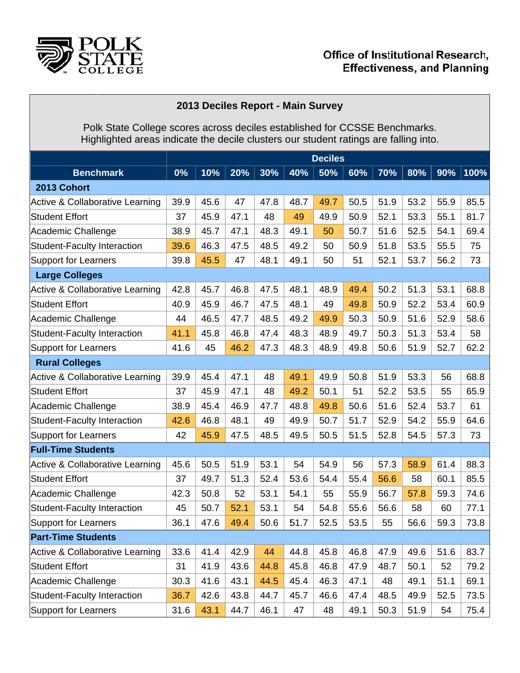

## **2013 3 Deciles R Report - M ain Survey y**

Pol High k State Co hlighted are llege score eas indicate s across de e the decile eciles estab e clusters o blished for C ur student CCSSE Be ratings are enchmarks. falling into .

|                                            | <b>Deciles</b> |      |      |      |      |      |      |      |      |      |      |
|--------------------------------------------|----------------|------|------|------|------|------|------|------|------|------|------|
| <b>Benchmark</b>                           | 0%             | 10%  | 20%  | 30%  | 40%  | 50%  | 60%  | 70%  | 80%  | 90%  | 100% |
| 2013 Cohort                                |                |      |      |      |      |      |      |      |      |      |      |
| Active & Collaborative Learning            | 39.9           | 45.6 | 47   | 47.8 | 48.7 | 49.7 | 50.5 | 51.9 | 53.2 | 55.9 | 85.5 |
| <b>Student Effort</b>                      | 37             | 45.9 | 47.1 | 48   | 49   | 49.9 | 50.9 | 52.1 | 53.3 | 55.1 | 81.7 |
| Academic Challenge                         | 38.9           | 45.7 | 47.1 | 48.3 | 49.1 | 50   | 50.7 | 51.6 | 52.5 | 54.1 | 69.4 |
| <b>Student-Faculty Interaction</b>         | 39.6           | 46.3 | 47.5 | 48.5 | 49.2 | 50   | 50.9 | 51.8 | 53.5 | 55.5 | 75   |
| <b>Support for Learners</b>                | 39.8           | 45.5 | 47   | 48.1 | 49.1 | 50   | 51   | 52.1 | 53.7 | 56.2 | 73   |
| <b>Large Colleges</b>                      |                |      |      |      |      |      |      |      |      |      |      |
| <b>Active &amp; Collaborative Learning</b> | 42.8           | 45.7 | 46.8 | 47.5 | 48.1 | 48.9 | 49.4 | 50.2 | 51.3 | 53.1 | 68.8 |
| <b>Student Effort</b>                      | 40.9           | 45.9 | 46.7 | 47.5 | 48.1 | 49   | 49.8 | 50.9 | 52.2 | 53.4 | 60.9 |
| Academic Challenge                         | 44             | 46.5 | 47.7 | 48.5 | 49.2 | 49.9 | 50.3 | 50.9 | 51.6 | 52.9 | 58.6 |
| <b>Student-Faculty Interaction</b>         | 41.1           | 45.8 | 46.8 | 47.4 | 48.3 | 48.9 | 49.7 | 50.3 | 51.3 | 53.4 | 58   |
| <b>Support for Learners</b>                | 41.6           | 45   | 46.2 | 47.3 | 48.3 | 48.9 | 49.8 | 50.6 | 51.9 | 52.7 | 62.2 |
| <b>Rural Colleges</b>                      |                |      |      |      |      |      |      |      |      |      |      |
| <b>Active &amp; Collaborative Learning</b> | 39.9           | 45.4 | 47.1 | 48   | 49.1 | 49.9 | 50.8 | 51.9 | 53.3 | 56   | 68.8 |
| <b>Student Effort</b>                      | 37             | 45.9 | 47.1 | 48   | 49.2 | 50.1 | 51   | 52.2 | 53.5 | 55   | 65.9 |
| Academic Challenge                         | 38.9           | 45.4 | 46.9 | 47.7 | 48.8 | 49.8 | 50.6 | 51.6 | 52.4 | 53.7 | 61   |
| <b>Student-Faculty Interaction</b>         | 42.6           | 46.8 | 48.1 | 49   | 49.9 | 50.7 | 51.7 | 52.9 | 54.2 | 55.9 | 64.6 |
| <b>Support for Learners</b>                | 42             | 45.9 | 47.5 | 48.5 | 49.5 | 50.5 | 51.5 | 52.8 | 54.5 | 57.3 | 73   |
| <b>Full-Time Students</b>                  |                |      |      |      |      |      |      |      |      |      |      |
| <b>Active &amp; Collaborative Learning</b> | 45.6           | 50.5 | 51.9 | 53.1 | 54   | 54.9 | 56   | 57.3 | 58.9 | 61.4 | 88.3 |
| <b>Student Effort</b>                      | 37             | 49.7 | 51.3 | 52.4 | 53.6 | 54.4 | 55.4 | 56.6 | 58   | 60.1 | 85.5 |
| Academic Challenge                         | 42.3           | 50.8 | 52   | 53.1 | 54.1 | 55   | 55.9 | 56.7 | 57.8 | 59.3 | 74.6 |
| <b>Student-Faculty Interaction</b>         | 45             | 50.7 | 52.1 | 53.1 | 54   | 54.8 | 55.6 | 56.6 | 58   | 60   | 77.1 |
| <b>Support for Learners</b>                | 36.1           | 47.6 | 49.4 | 50.6 | 51.7 | 52.5 | 53.5 | 55   | 56.6 | 59.3 | 73.8 |
| <b>Part-Time Students</b>                  |                |      |      |      |      |      |      |      |      |      |      |
| Active & Collaborative Learning            | 33.6           | 41.4 | 42.9 | 44   | 44.8 | 45.8 | 46.8 | 47.9 | 49.6 | 51.6 | 83.7 |
| <b>Student Effort</b>                      | 31             | 41.9 | 43.6 | 44.8 | 45.8 | 46.8 | 47.9 | 48.7 | 50.1 | 52   | 79.2 |
| Academic Challenge                         | 30.3           | 41.6 | 43.1 | 44.5 | 45.4 | 46.3 | 47.1 | 48   | 49.1 | 51.1 | 69.1 |
| Student-Faculty Interaction                | 36.7           | 42.6 | 43.8 | 44.7 | 45.7 | 46.6 | 47.4 | 48.5 | 49.9 | 52.5 | 73.5 |
| Support for Learners                       | 31.6           | 43.1 | 44.7 | 46.1 | 47   | 48   | 49.1 | 50.3 | 51.9 | 54   | 75.4 |